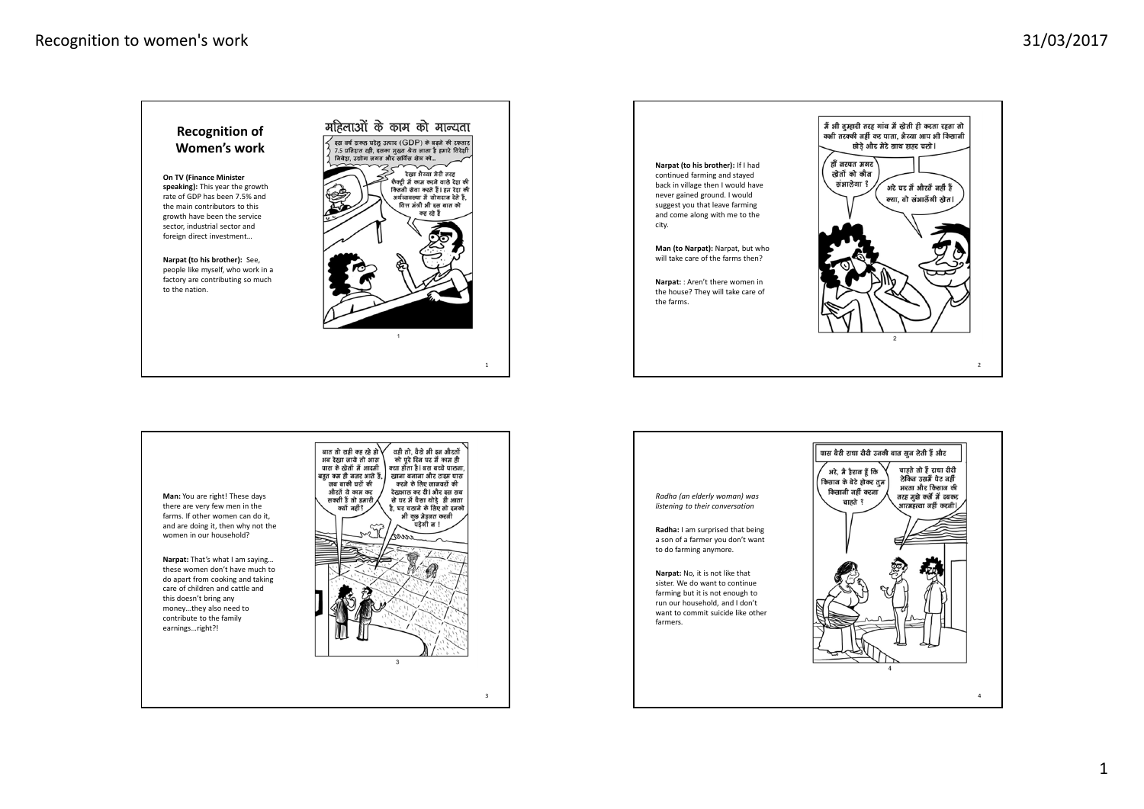





3



*listening to their conversation*

a son of a farmer you don't want to do farming anymore.

sister. We do want to continue farming but it is not enough to run our household, and I don't want to commit suicide like other farmers.